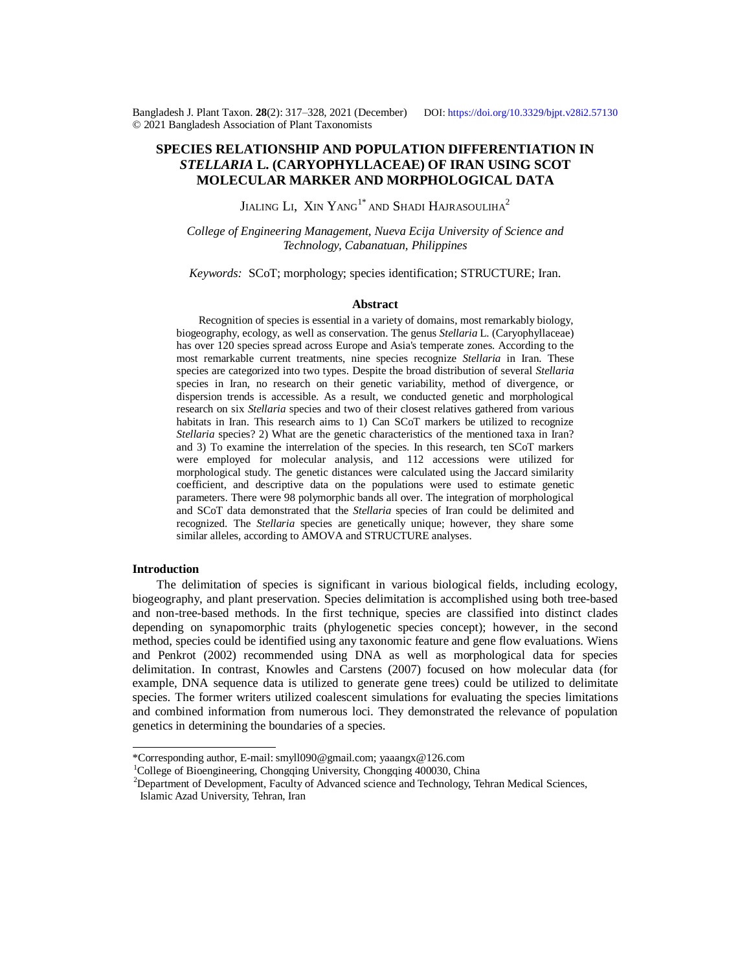Bangladesh J. Plant Taxon. **28**(2): 317‒328, 2021 (December) DOI:<https://doi.org/10.3329/bjpt.v28i2.57130> © 2021 Bangladesh Association of Plant Taxonomists

# **SPECIES RELATIONSHIP AND POPULATION DIFFERENTIATION IN** *STELLARIA* **L. (CARYOPHYLLACEAE) OF IRAN USING SCOT MOLECULAR MARKER AND MORPHOLOGICAL DATA**

Jialing Li,  $\,$ Xin $\,$ Yang $^{1^*}$ and Shadi Hajrasouliha $^2$ 

*College of Engineering Management, Nueva Ecija University of Science and Technology, Cabanatuan, Philippines*

*Keywords:* SCoT; morphology; species identification; STRUCTURE; Iran.

### **Abstract**

Recognition of species is essential in a variety of domains, most remarkably biology, biogeography, ecology, as well as conservation. The genus *Stellaria* L. (Caryophyllaceae) has over 120 species spread across Europe and Asia's temperate zones. According to the most remarkable current treatments, nine species recognize *Stellaria* in Iran. These species are categorized into two types. Despite the broad distribution of several *Stellaria* species in Iran, no research on their genetic variability, method of divergence, or dispersion trends is accessible. As a result, we conducted genetic and morphological research on six *Stellaria* species and two of their closest relatives gathered from various habitats in Iran. This research aims to 1) Can SCoT markers be utilized to recognize *Stellaria* species? 2) What are the genetic characteristics of the mentioned taxa in Iran? and 3) To examine the interrelation of the species. In this research, ten SCoT markers were employed for molecular analysis, and 112 accessions were utilized for morphological study. The genetic distances were calculated using the Jaccard similarity coefficient, and descriptive data on the populations were used to estimate genetic parameters. There were 98 polymorphic bands all over. The integration of morphological and SCoT data demonstrated that the *Stellaria* species of Iran could be delimited and recognized. The *Stellaria* species are genetically unique; however, they share some similar alleles, according to AMOVA and STRUCTURE analyses.

### **Introduction**

 The delimitation of species is significant in various biological fields, including ecology, biogeography, and plant preservation. Species delimitation is accomplished using both tree-based and non-tree-based methods. In the first technique, species are classified into distinct clades depending on synapomorphic traits (phylogenetic species concept); however, in the second method, species could be identified using any taxonomic feature and gene flow evaluations. Wiens and Penkrot (2002) recommended using DNA as well as morphological data for species delimitation. In contrast, Knowles and Carstens (2007) focused on how molecular data (for example, DNA sequence data is utilized to generate gene trees) could be utilized to delimitate species. The former writers utilized coalescent simulations for evaluating the species limitations and combined information from numerous loci. They demonstrated the relevance of population genetics in determining the boundaries of a species.

<sup>\*</sup>Corresponding author, E-mail: [smyll090@gmail.com;](mailto:smyll090@gmail.com;) [yaaangx@126.com](mailto:yaaangx@126.com)

<sup>&</sup>lt;sup>1</sup>College of Bioengineering, Chongqing University, Chongqing 400030, China

<sup>&</sup>lt;sup>2</sup>Department of Development, Faculty of Advanced science and Technology, Tehran Medical Sciences, Islamic Azad University, Tehran, Iran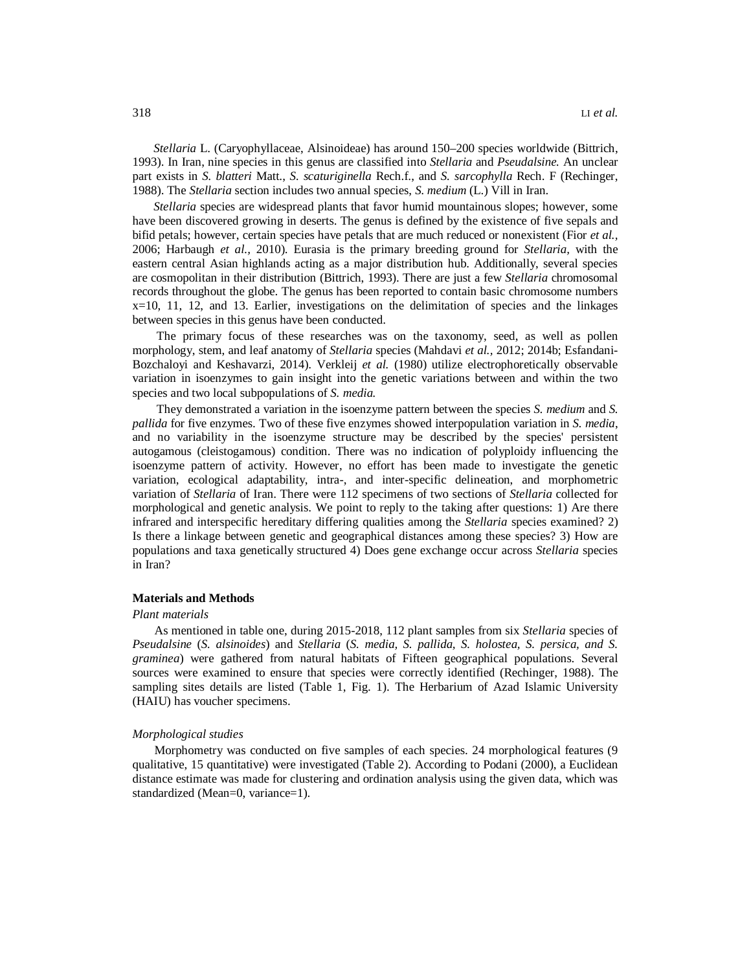*Stellaria* L. (Caryophyllaceae, Alsinoideae) has around 150–200 species worldwide (Bittrich, 1993). In Iran, nine species in this genus are classified into *Stellaria* and *Pseudalsine.* An unclear part exists in *S. blatteri* Matt., *S. scaturiginella* Rech.f., and *S. sarcophylla* Rech. F (Rechinger, 1988). The *Stellaria* section includes two annual species, *S. medium* (L.) Vill in Iran.

 *Stellaria* species are widespread plants that favor humid mountainous slopes; however, some have been discovered growing in deserts. The genus is defined by the existence of five sepals and bifid petals; however, certain species have petals that are much reduced or nonexistent (Fior *et al.,* 2006; Harbaugh *et al.,* 2010). Eurasia is the primary breeding ground for *Stellaria,* with the eastern central Asian highlands acting as a major distribution hub. Additionally, several species are cosmopolitan in their distribution (Bittrich, 1993). There are just a few *Stellaria* chromosomal records throughout the globe. The genus has been reported to contain basic chromosome numbers x=10, 11, 12, and 13. Earlier, investigations on the delimitation of species and the linkages between species in this genus have been conducted.

 The primary focus of these researches was on the taxonomy, seed, as well as pollen morphology, stem, and leaf anatomy of *Stellaria* species (Mahdavi *et al.,* 2012; 2014b; Esfandani-Bozchaloyi and Keshavarzi, 2014). Verkleij *et al.* (1980) utilize electrophoretically observable variation in isoenzymes to gain insight into the genetic variations between and within the two species and two local subpopulations of *S. media.* 

 They demonstrated a variation in the isoenzyme pattern between the species *S. medium* and *S. pallida* for five enzymes. Two of these five enzymes showed interpopulation variation in *S. media*, and no variability in the isoenzyme structure may be described by the species' persistent autogamous (cleistogamous) condition. There was no indication of polyploidy influencing the isoenzyme pattern of activity. However, no effort has been made to investigate the genetic variation, ecological adaptability, intra-, and inter-specific delineation, and morphometric variation of *Stellaria* of Iran. There were 112 specimens of two sections of *Stellaria* collected for morphological and genetic analysis. We point to reply to the taking after questions: 1) Are there infrared and interspecific hereditary differing qualities among the *Stellaria* species examined? 2) Is there a linkage between genetic and geographical distances among these species? 3) How are populations and taxa genetically structured 4) Does gene exchange occur across *Stellaria* species in Iran?

#### **Materials and Methods**

#### *Plant materials*

As mentioned in table one, during 2015-2018, 112 plant samples from six *Stellaria* species of *Pseudalsine* (*S. alsinoides*) and *Stellaria* (*S. media, S. pallida, S. holostea, S. persica, and S. graminea*) were gathered from natural habitats of Fifteen geographical populations. Several sources were examined to ensure that species were correctly identified (Rechinger, 1988). The sampling sites details are listed (Table 1, Fig. 1). The Herbarium of Azad Islamic University (HAIU) has voucher specimens.

#### *Morphological studies*

Morphometry was conducted on five samples of each species. 24 morphological features (9 qualitative, 15 quantitative) were investigated (Table 2). According to Podani (2000), a Euclidean distance estimate was made for clustering and ordination analysis using the given data, which was standardized (Mean=0, variance=1).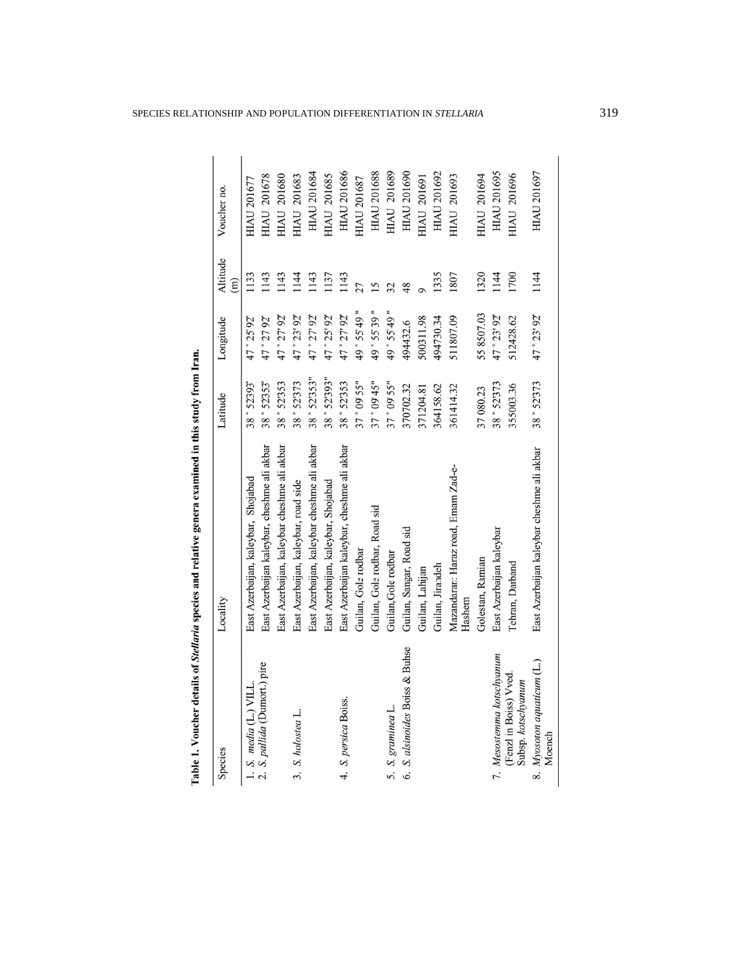| Species                                     | Locality                                      | Latitude     | Longitude    | Altitude<br>$\widehat{m}$ | Voucher no.        |
|---------------------------------------------|-----------------------------------------------|--------------|--------------|---------------------------|--------------------|
| 1. S. $median(L)$ VILL                      | East Azerbaijan, kaleybar, Shojabad           | 38 ° 52393   | 47 ° 25' 92" | 133                       | <b>HIAU 201677</b> |
| 2. S. pallida (Dumort.) pire                | East Azerbaijan kaleybar, cheshme ali akbar   | 38 ° 52353"  | 47 ° 27 92"  | 143                       | <b>HIAU 201678</b> |
|                                             | East Azerbaijan, kaleybar cheshme ali akbar   | 38 ° 52'353  | 47 ° 27' 92" | 1143                      | <b>HIAU 201680</b> |
| 3. S. holostea L.                           | East Azerbaijan, kaleybar, road side          | 38 ° 52'373  | 47 ° 23' 92" | 144                       | <b>HIAU 201683</b> |
|                                             | East Azerbaijan, kaleybar cheshme ali akbar   | 38 ° 52'353" | 47°27'92"    | 1143                      | <b>HIAU 201684</b> |
|                                             | East Azerbaijan, kaleybar, Shojabad           | 38°52'393"   | 47 ° 25' 92" | 137                       | <b>HIAU 201685</b> |
| 4. S. persica Boiss.                        | East Azerbaijan kaleybar, cheshme ali akbar   | 38 ° 52'353  | 47°27'92"    | 1143                      | <b>HIAU 201686</b> |
|                                             | Guilan, Gole rodbar                           | 37°09'55"    | 49 ° 55' 49" | 27                        | <b>HIAU 201687</b> |
|                                             | Guilan, Gole rodbar, Road sid                 | 37 ° 09' 45" | 49 ° 55' 39" | 5                         | <b>HIAU 201688</b> |
| 5. S. graminea L.                           | Guilan, Gole rodbar                           | 37° 09' 55"  | 49 ° 55' 49" | $\overline{2}$            | <b>HIAU 201689</b> |
| 6. S. alsinoides Boiss & Buhse              | Guilan, Sangar, Road sid                      | 370702.32    | 494432.6     | $\frac{8}{2}$             | <b>HIAU 201690</b> |
|                                             | Guilan, Lahijan                               | 371204.81    | 500311.98    |                           | <b>HIAU 201691</b> |
|                                             | Guilan, Jirandeh                              | 364158.62    | 494730.34    | 1335                      | <b>HIAU 201692</b> |
|                                             | Mazandaran: Haraz road, Emam Zad-e-<br>Hashem | 361414.32    | 511807.09    | 1807                      | <b>HIAU 201693</b> |
|                                             | Golestan, Ramian                              | 37 080.23    | 55 8507.03   | 1320                      | <b>HIAU 201694</b> |
| 7. Mesostemma kotschyanum                   | East Azerbaijan kaleybar                      | 38 ° 52'373  | 47 ° 23' 92" | 144                       | <b>HIAU 201695</b> |
| (Fenzl in Boiss) Vved<br>Subsp. kotschyanum | Tehran, Darband                               | 355003.36    | 512428.62    | 1700                      | <b>HIAU 201696</b> |
| 8. Myosoton aquaticum (L.)<br>Moench        | East Azerbaijan kaleybar cheshme ali akbar    | 38° 52'373   | 47°23'92"    | 1144                      | HIAU 201697        |

Table 1. Voucher details of Stellaria species and relative genera examined in this study from Iran.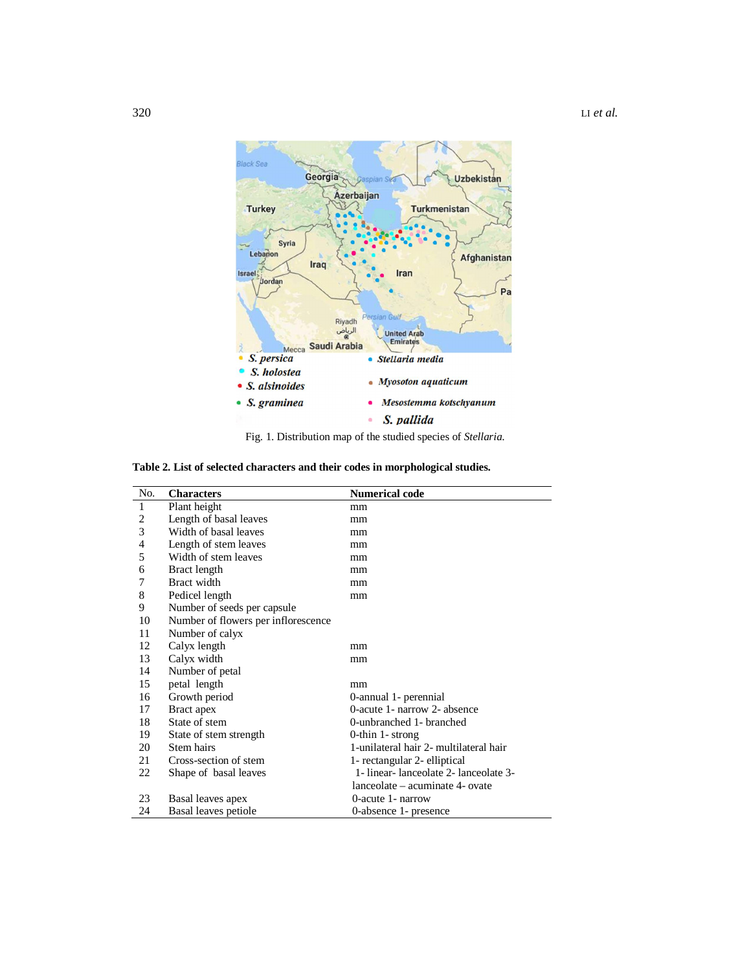

**Table 2. List of selected characters and their codes in morphological studies.**

| No. | <b>Characters</b>                   | <b>Numerical code</b>                  |
|-----|-------------------------------------|----------------------------------------|
| 1   | Plant height                        | mm                                     |
| 2   | Length of basal leaves              | mm                                     |
| 3   | Width of basal leaves               | mm                                     |
| 4   | Length of stem leaves               | mm                                     |
| 5   | Width of stem leaves                | mm                                     |
| 6   | Bract length                        | mm                                     |
| 7   | Bract width                         | mm                                     |
| 8   | Pedicel length                      | mm                                     |
| 9   | Number of seeds per capsule         |                                        |
| 10  | Number of flowers per inflorescence |                                        |
| 11  | Number of calyx                     |                                        |
| 12  | Calyx length                        | mm                                     |
| 13  | Calyx width                         | mm                                     |
| 14  | Number of petal                     |                                        |
| 15  | petal length                        | mm                                     |
| 16  | Growth period                       | 0-annual 1- perennial                  |
| 17  | Bract apex                          | 0-acute 1- narrow 2- absence           |
| 18  | State of stem                       | 0-unbranched 1- branched               |
| 19  | State of stem strength              | 0-thin 1- strong                       |
| 20  | Stem hairs                          | 1-unilateral hair 2- multilateral hair |
| 21  | Cross-section of stem               | 1- rectangular 2- elliptical           |
| 22  | Shape of basal leaves               | 1- linear-lanceolate 2- lanceolate 3-  |
|     |                                     | lanceolate – acuminate 4- ovate        |
| 23  | Basal leaves apex                   | 0-acute 1- narrow                      |
| 24  | Basal leaves petiole                | 0-absence 1- presence                  |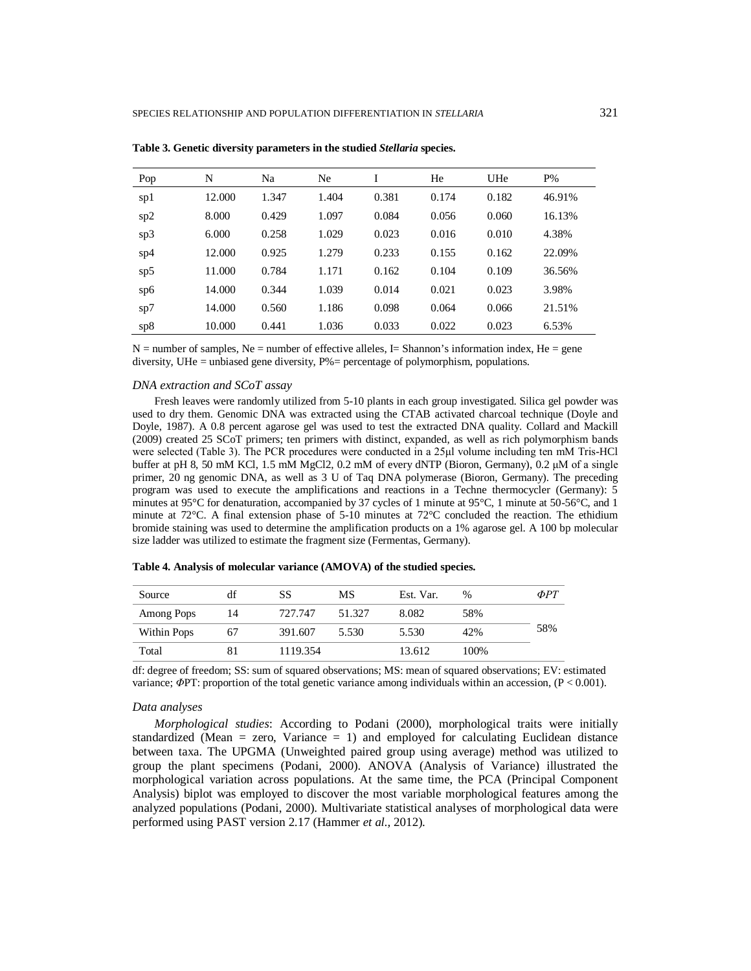| Pop | N      | Na    | Ne.   | I     | He    | UHe   | $P\%$  |
|-----|--------|-------|-------|-------|-------|-------|--------|
| sp1 | 12.000 | 1.347 | 1.404 | 0.381 | 0.174 | 0.182 | 46.91% |
| sp2 | 8.000  | 0.429 | 1.097 | 0.084 | 0.056 | 0.060 | 16.13% |
| sp3 | 6.000  | 0.258 | 1.029 | 0.023 | 0.016 | 0.010 | 4.38%  |
| sp4 | 12.000 | 0.925 | 1.279 | 0.233 | 0.155 | 0.162 | 22.09% |
| sp5 | 11.000 | 0.784 | 1.171 | 0.162 | 0.104 | 0.109 | 36.56% |
| sp6 | 14.000 | 0.344 | 1.039 | 0.014 | 0.021 | 0.023 | 3.98%  |
| sp7 | 14.000 | 0.560 | 1.186 | 0.098 | 0.064 | 0.066 | 21.51% |
| sp8 | 10.000 | 0.441 | 1.036 | 0.033 | 0.022 | 0.023 | 6.53%  |

**Table 3. Genetic diversity parameters in the studied** *Stellaria* **species.** 

 $N =$  number of samples, Ne = number of effective alleles, I= Shannon's information index, He = gene diversity, UHe = unbiased gene diversity, P%= percentage of polymorphism, populations.

#### *DNA extraction and SCoT assay*

Fresh leaves were randomly utilized from 5-10 plants in each group investigated. Silica gel powder was used to dry them. Genomic DNA was extracted using the CTAB activated charcoal technique (Doyle and Doyle, 1987). A 0.8 percent agarose gel was used to test the extracted DNA quality. Collard and Mackill (2009) created 25 SCoT primers; ten primers with distinct, expanded, as well as rich polymorphism bands were selected (Table 3). The PCR procedures were conducted in a 25μl volume including ten mM Tris-HCl buffer at pH 8, 50 mM KCl, 1.5 mM MgCl2, 0.2 mM of every dNTP (Bioron, Germany), 0.2 μM of a single primer, 20 ng genomic DNA, as well as 3 U of Taq DNA polymerase (Bioron, Germany). The preceding program was used to execute the amplifications and reactions in a Techne thermocycler (Germany): 5 minutes at 95°C for denaturation, accompanied by 37 cycles of 1 minute at 95°C, 1 minute at 50-56°C, and 1 minute at 72°C. A final extension phase of 5-10 minutes at 72°C concluded the reaction. The ethidium bromide staining was used to determine the amplification products on a 1% agarose gel. A 100 bp molecular size ladder was utilized to estimate the fragment size (Fermentas, Germany).

| Source             | df | SS       | МS     | Est. Var. | $\%$ | $\Phi PT$ |
|--------------------|----|----------|--------|-----------|------|-----------|
| Among Pops         | 14 | 727.747  | 51.327 | 8.082     | 58%  |           |
| <b>Within Pops</b> | 67 | 391.607  | 5.530  | 5.530     | 42%  | 58%       |
| Total              |    | 1119.354 |        | 13.612    | 100% |           |

**Table 4. Analysis of molecular variance (AMOVA) of the studied species.**

df: degree of freedom; SS: sum of squared observations; MS: mean of squared observations; EV: estimated variance; *Φ*PT: proportion of the total genetic variance among individuals within an accession, (P < 0.001).

## *Data analyses*

*Morphological studies*: According to Podani (2000), morphological traits were initially standardized (Mean = zero, Variance = 1) and employed for calculating Euclidean distance between taxa. The UPGMA (Unweighted paired group using average) method was utilized to group the plant specimens (Podani, 2000). ANOVA (Analysis of Variance) illustrated the morphological variation across populations. At the same time, the PCA (Principal Component Analysis) biplot was employed to discover the most variable morphological features among the analyzed populations (Podani, 2000). Multivariate statistical analyses of morphological data were performed using PAST version 2.17 (Hammer *et al.,* 2012).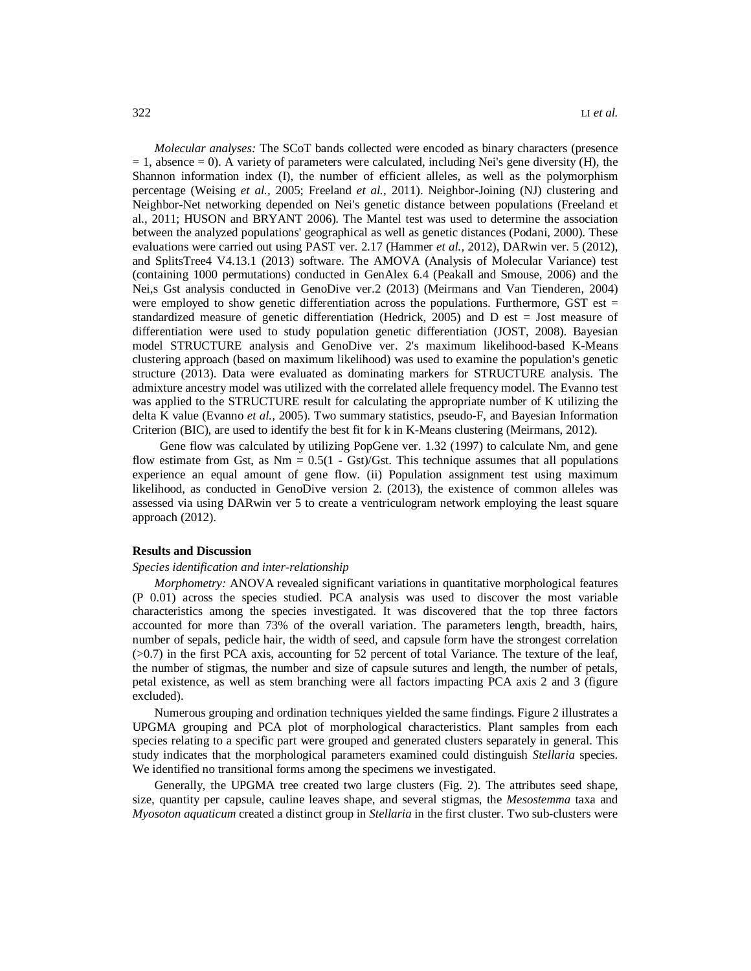*Molecular analyses:* The SCoT bands collected were encoded as binary characters (presence  $= 1$ , absence  $= 0$ ). A variety of parameters were calculated, including Nei's gene diversity (H), the Shannon information index (I), the number of efficient alleles, as well as the polymorphism percentage (Weising *et al.,* 2005; Freeland *et al.,* 2011). Neighbor-Joining (NJ) clustering and Neighbor-Net networking depended on Nei's genetic distance between populations (Freeland et al., 2011; HUSON and BRYANT 2006). The Mantel test was used to determine the association between the analyzed populations' geographical as well as genetic distances (Podani, 2000). These evaluations were carried out using PAST ver. 2.17 (Hammer *et al.,* 2012), DARwin ver. 5 (2012), and SplitsTree4 V4.13.1 (2013) software. The AMOVA (Analysis of Molecular Variance) test (containing 1000 permutations) conducted in GenAlex 6.4 (Peakall and Smouse, 2006) and the Nei,s Gst analysis conducted in GenoDive ver.2 (2013) (Meirmans and Van Tienderen, 2004) were employed to show genetic differentiation across the populations. Furthermore, GST est  $=$ standardized measure of genetic differentiation (Hedrick, 2005) and  $D$  est = Jost measure of differentiation were used to study population genetic differentiation (JOST, 2008). Bayesian model STRUCTURE analysis and GenoDive ver. 2's maximum likelihood-based K-Means clustering approach (based on maximum likelihood) was used to examine the population's genetic structure (2013). Data were evaluated as dominating markers for STRUCTURE analysis. The admixture ancestry model was utilized with the correlated allele frequency model. The Evanno test was applied to the STRUCTURE result for calculating the appropriate number of K utilizing the delta K value (Evanno *et al.,* 2005). Two summary statistics, pseudo-F, and Bayesian Information Criterion (BIC), are used to identify the best fit for k in K-Means clustering (Meirmans, 2012).

 Gene flow was calculated by utilizing PopGene ver. 1.32 (1997) to calculate Nm, and gene flow estimate from Gst, as  $Nm = 0.5(1 - Gst)/Gst$ . This technique assumes that all populations experience an equal amount of gene flow. (ii) Population assignment test using maximum likelihood, as conducted in GenoDive version 2. (2013), the existence of common alleles was assessed via using DARwin ver 5 to create a ventriculogram network employing the least square approach (2012).

#### **Results and Discussion**

## *Species identification and inter-relationship*

*Morphometry:* ANOVA revealed significant variations in quantitative morphological features (P 0.01) across the species studied. PCA analysis was used to discover the most variable characteristics among the species investigated. It was discovered that the top three factors accounted for more than 73% of the overall variation. The parameters length, breadth, hairs, number of sepals, pedicle hair, the width of seed, and capsule form have the strongest correlation (>0.7) in the first PCA axis, accounting for 52 percent of total Variance. The texture of the leaf, the number of stigmas, the number and size of capsule sutures and length, the number of petals, petal existence, as well as stem branching were all factors impacting PCA axis 2 and 3 (figure excluded).

Numerous grouping and ordination techniques yielded the same findings. Figure 2 illustrates a UPGMA grouping and PCA plot of morphological characteristics. Plant samples from each species relating to a specific part were grouped and generated clusters separately in general. This study indicates that the morphological parameters examined could distinguish *Stellaria* species. We identified no transitional forms among the specimens we investigated.

Generally, the UPGMA tree created two large clusters (Fig. 2). The attributes seed shape, size, quantity per capsule, cauline leaves shape, and several stigmas, the *Mesostemma* taxa and *Myosoton aquaticum* created a distinct group in *Stellaria* in the first cluster. Two sub-clusters were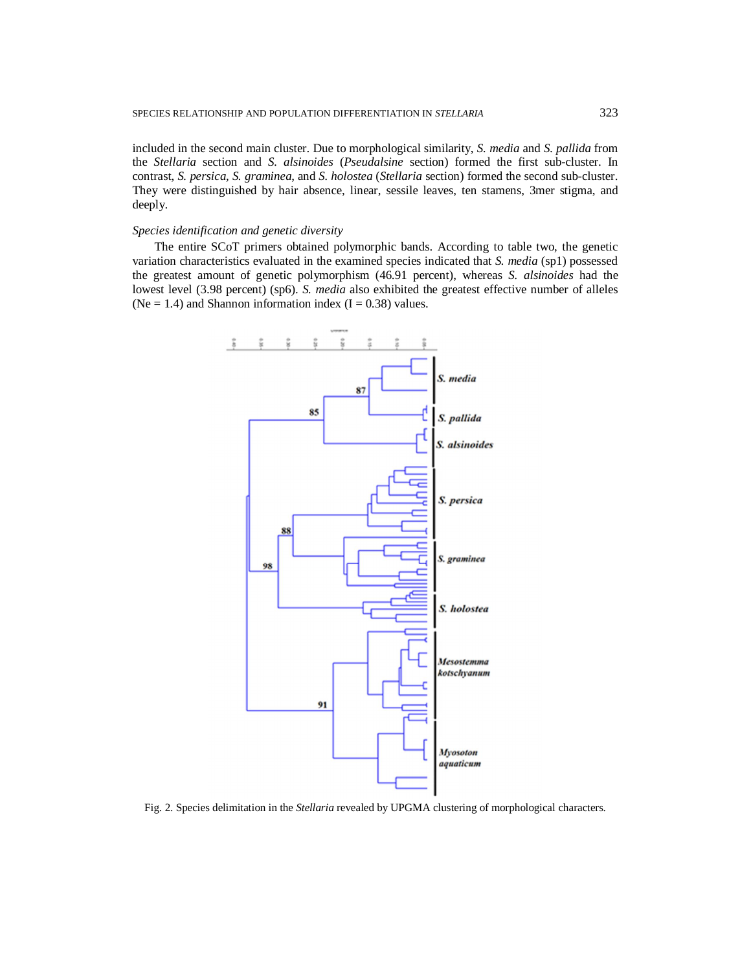included in the second main cluster. Due to morphological similarity, *S. media* and *S. pallida* from the *Stellaria* section and *S. alsinoides* (*Pseudalsine* section) formed the first sub-cluster. In contrast, *S. persica, S. graminea*, and *S. holostea* (*Stellaria* section) formed the second sub-cluster. They were distinguished by hair absence, linear, sessile leaves, ten stamens, 3mer stigma, and deeply.

### *Species identification and genetic diversity*

The entire SCoT primers obtained polymorphic bands. According to table two, the genetic variation characteristics evaluated in the examined species indicated that *S. media* (sp1) possessed the greatest amount of genetic polymorphism (46.91 percent), whereas *S. alsinoides* had the lowest level (3.98 percent) (sp6). *S. media* also exhibited the greatest effective number of alleles (Ne = 1.4) and Shannon information index  $(I = 0.38)$  values.



Fig. 2. Species delimitation in the *Stellaria* revealed by UPGMA clustering of morphological characters.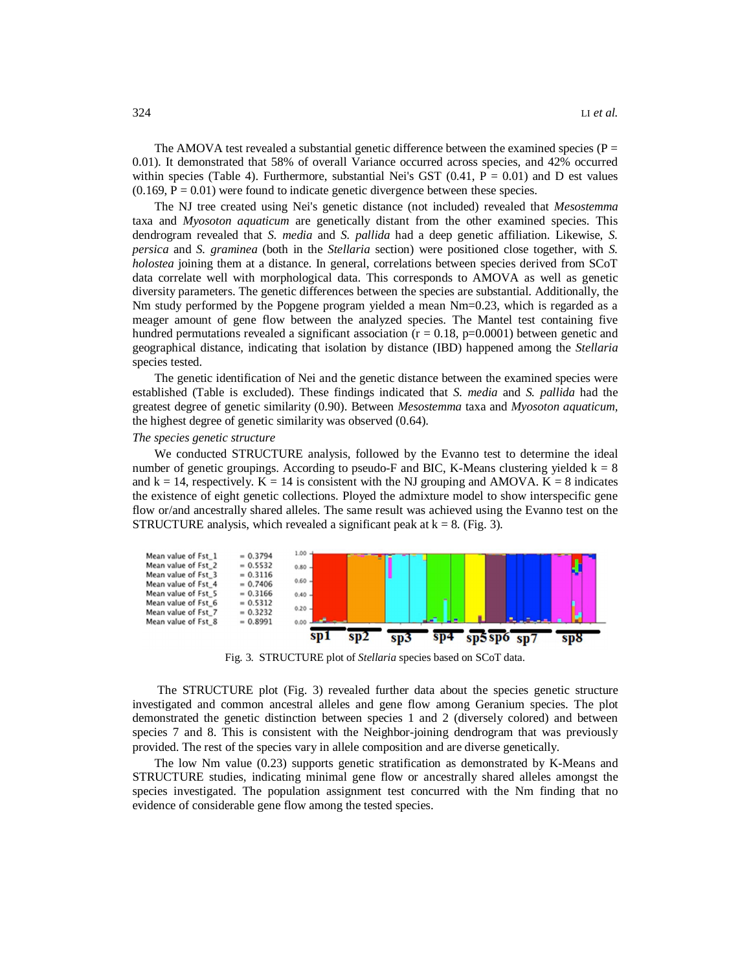The AMOVA test revealed a substantial genetic difference between the examined species ( $P =$ 0.01). It demonstrated that 58% of overall Variance occurred across species, and 42% occurred within species (Table 4). Furthermore, substantial Nei's GST  $(0.41, P = 0.01)$  and D est values  $(0.169, P = 0.01)$  were found to indicate genetic divergence between these species.

The NJ tree created using Nei's genetic distance (not included) revealed that *Mesostemma* taxa and *Myosoton aquaticum* are genetically distant from the other examined species. This dendrogram revealed that *S. media* and *S. pallida* had a deep genetic affiliation. Likewise, *S. persica* and *S. graminea* (both in the *Stellaria* section) were positioned close together, with *S. holostea* joining them at a distance. In general, correlations between species derived from SCoT data correlate well with morphological data. This corresponds to AMOVA as well as genetic diversity parameters. The genetic differences between the species are substantial. Additionally, the Nm study performed by the Popgene program yielded a mean Nm=0.23, which is regarded as a meager amount of gene flow between the analyzed species. The Mantel test containing five hundred permutations revealed a significant association ( $r = 0.18$ ,  $p=0.0001$ ) between genetic and geographical distance, indicating that isolation by distance (IBD) happened among the *Stellaria* species tested.

The genetic identification of Nei and the genetic distance between the examined species were established (Table is excluded). These findings indicated that *S. media* and *S. pallida* had the greatest degree of genetic similarity (0.90). Between *Mesostemma* taxa and *Myosoton aquaticum,* the highest degree of genetic similarity was observed (0.64).

#### *The species genetic structure*

We conducted STRUCTURE analysis, followed by the Evanno test to determine the ideal number of genetic groupings. According to pseudo-F and BIC, K-Means clustering yielded  $k = 8$ and  $k = 14$ , respectively.  $K = 14$  is consistent with the NJ grouping and AMOVA.  $K = 8$  indicates the existence of eight genetic collections. Ployed the admixture model to show interspecific gene flow or/and ancestrally shared alleles. The same result was achieved using the Evanno test on the STRUCTURE analysis, which revealed a significant peak at  $k = 8$ . (Fig. 3).



Fig. 3. STRUCTURE plot of *Stellaria* species based on SCoT data.

The STRUCTURE plot (Fig. 3) revealed further data about the species genetic structure investigated and common ancestral alleles and gene flow among Geranium species. The plot demonstrated the genetic distinction between species 1 and 2 (diversely colored) and between species 7 and 8. This is consistent with the Neighbor-joining dendrogram that was previously provided. The rest of the species vary in allele composition and are diverse genetically.

The low Nm value (0.23) supports genetic stratification as demonstrated by K-Means and STRUCTURE studies, indicating minimal gene flow or ancestrally shared alleles amongst the species investigated. The population assignment test concurred with the Nm finding that no evidence of considerable gene flow among the tested species.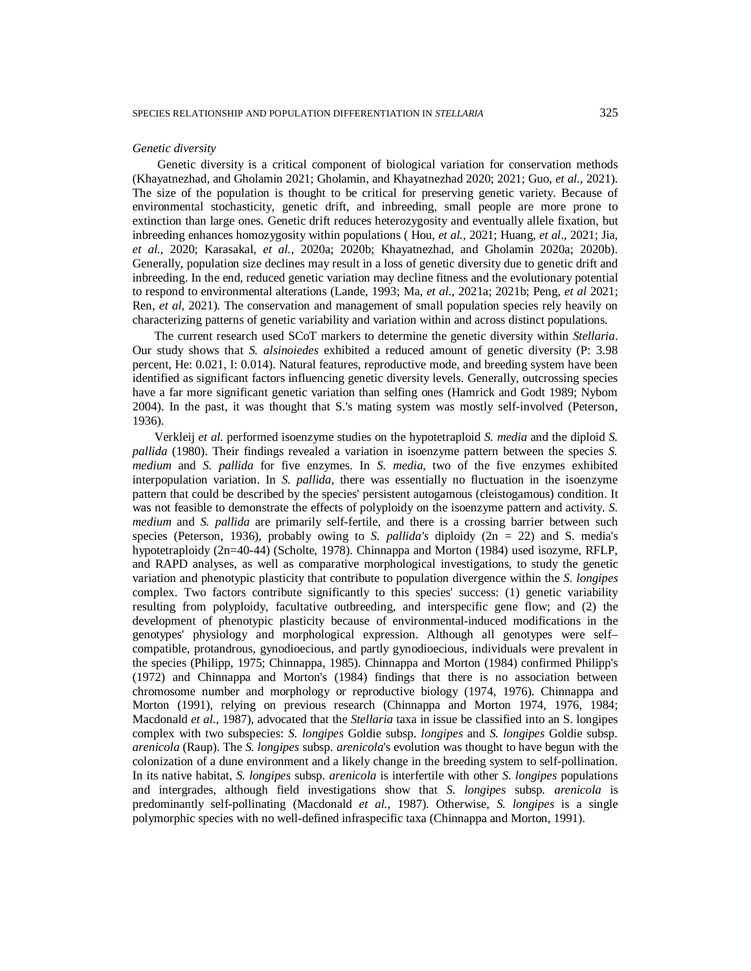#### *Genetic diversity*

Genetic diversity is a critical component of biological variation for conservation methods (Khayatnezhad, and Gholamin 2021; Gholamin, and Khayatnezhad 2020; 2021; Guo, *et al.,* 2021). The size of the population is thought to be critical for preserving genetic variety. Because of environmental stochasticity, genetic drift, and inbreeding, small people are more prone to extinction than large ones. Genetic drift reduces heterozygosity and eventually allele fixation, but inbreeding enhances homozygosity within populations ( Hou, *et al.,* 2021; Huang, *et al*., 2021; Jia, *et al.,* 2020; Karasakal, *et al.,* 2020a; 2020b; Khayatnezhad, and Gholamin 2020a; 2020b). Generally, population size declines may result in a loss of genetic diversity due to genetic drift and inbreeding. In the end, reduced genetic variation may decline fitness and the evolutionary potential to respond to environmental alterations (Lande, 1993; Ma, *et al.,* 2021a; 2021b; Peng, *et al* 2021; Ren, *et al*, 2021). The conservation and management of small population species rely heavily on characterizing patterns of genetic variability and variation within and across distinct populations.

The current research used SCoT markers to determine the genetic diversity within *Stellaria*. Our study shows that *S. alsinoiedes* exhibited a reduced amount of genetic diversity (P: 3.98 percent, He: 0.021, I: 0.014). Natural features, reproductive mode, and breeding system have been identified as significant factors influencing genetic diversity levels. Generally, outcrossing species have a far more significant genetic variation than selfing ones (Hamrick and Godt 1989; Nybom 2004). In the past, it was thought that S.'s mating system was mostly self-involved (Peterson, 1936).

Verkleij *et al.* performed isoenzyme studies on the hypotetraploid *S. media* and the diploid *S. pallida* (1980). Their findings revealed a variation in isoenzyme pattern between the species *S. medium* and *S. pallida* for five enzymes. In *S. media*, two of the five enzymes exhibited interpopulation variation. In *S. pallida*, there was essentially no fluctuation in the isoenzyme pattern that could be described by the species' persistent autogamous (cleistogamous) condition. It was not feasible to demonstrate the effects of polyploidy on the isoenzyme pattern and activity. *S. medium* and *S. pallida* are primarily self-fertile, and there is a crossing barrier between such species (Peterson, 1936), probably owing to *S. pallida's* diploidy (2n = 22) and S. media's hypotetraploidy (2n=40-44) (Scholte, 1978). Chinnappa and Morton (1984) used isozyme, RFLP, and RAPD analyses, as well as comparative morphological investigations, to study the genetic variation and phenotypic plasticity that contribute to population divergence within the *S. longipes* complex. Two factors contribute significantly to this species' success: (1) genetic variability resulting from polyploidy, facultative outbreeding, and interspecific gene flow; and (2) the development of phenotypic plasticity because of environmental-induced modifications in the genotypes' physiology and morphological expression. Although all genotypes were self– compatible, protandrous, gynodioecious, and partly gynodioecious, individuals were prevalent in the species (Philipp, 1975; Chinnappa, 1985). Chinnappa and Morton (1984) confirmed Philipp's (1972) and Chinnappa and Morton's (1984) findings that there is no association between chromosome number and morphology or reproductive biology (1974, 1976). Chinnappa and Morton (1991), relying on previous research (Chinnappa and Morton 1974, 1976, 1984; Macdonald *et al*., 1987), advocated that the *Stellaria* taxa in issue be classified into an S. longipes complex with two subspecies: *S. longipes* Goldie subsp. *longipes* and *S. longipes* Goldie subsp. *arenicola* (Raup). The *S. longipes* subsp. *arenicola*'s evolution was thought to have begun with the colonization of a dune environment and a likely change in the breeding system to self-pollination. In its native habitat, *S. longipes* subsp. *arenicola* is interfertile with other *S. longipes* populations and intergrades, although field investigations show that *S. longipes* subsp*. arenicola* is predominantly self-pollinating (Macdonald *et al.*, 1987). Otherwise, *S. longipes* is a single polymorphic species with no well-defined infraspecific taxa (Chinnappa and Morton, 1991).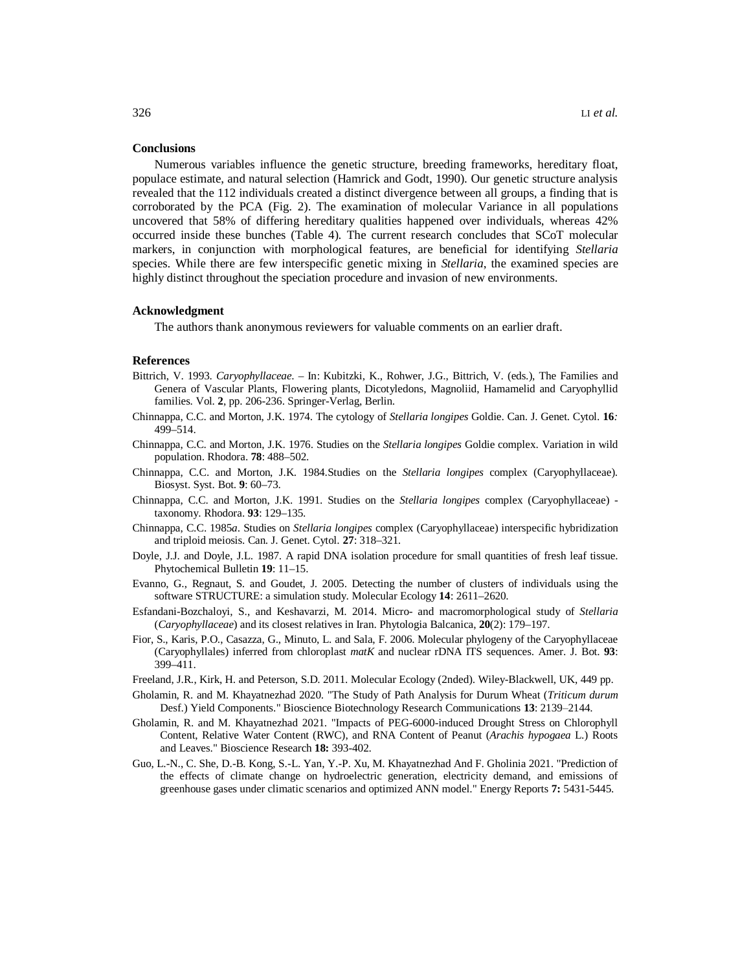#### **Conclusions**

Numerous variables influence the genetic structure, breeding frameworks, hereditary float, populace estimate, and natural selection (Hamrick and Godt, 1990). Our genetic structure analysis revealed that the 112 individuals created a distinct divergence between all groups, a finding that is corroborated by the PCA (Fig. 2). The examination of molecular Variance in all populations uncovered that 58% of differing hereditary qualities happened over individuals, whereas 42% occurred inside these bunches (Table 4). The current research concludes that SCoT molecular markers, in conjunction with morphological features, are beneficial for identifying *Stellaria*  species. While there are few interspecific genetic mixing in *Stellaria*, the examined species are highly distinct throughout the speciation procedure and invasion of new environments.

#### **Acknowledgment**

The authors thank anonymous reviewers for valuable comments on an earlier draft.

#### **References**

- Bittrich, V. 1993. *Caryophyllaceae*. In: Kubitzki, K., Rohwer, J.G., Bittrich, V. (eds.), The Families and Genera of Vascular Plants, Flowering plants, Dicotyledons, Magnoliid, Hamamelid and Caryophyllid families. Vol. **2**, pp. 206-236. Springer-Verlag, Berlin.
- Chinnappa, C.C. and Morton, J.K. 1974. The cytology of *Stellaria longipes* Goldie. Can. J. Genet. Cytol. **16***:* 499–514.
- Chinnappa, C.C. and Morton, J.K. 1976. Studies on the *Stellaria longipes* Goldie complex. Variation in wild population. Rhodora. **78**: 488–502.
- Chinnappa, C.C. and Morton, J.K. 1984.Studies on the *Stellaria longipes* complex (Caryophyllaceae). Biosyst. Syst. Bot. **9**: 60–73.
- Chinnappa, C.C. and Morton, J.K. 1991. Studies on the *Stellaria longipes* complex (Caryophyllaceae) taxonomy. Rhodora. **93**: 129–135.
- Chinnappa, C.C. 1985*a*. Studies on *Stellaria longipes* complex (Caryophyllaceae) interspecific hybridization and triploid meiosis. Can. J. Genet. Cytol. **27**: 318–321.
- Doyle, J.J. and Doyle, J.L. 1987. A rapid DNA isolation procedure for small quantities of fresh leaf tissue. Phytochemical Bulletin **19**: 11–15.
- Evanno, G., Regnaut, S. and Goudet, J. 2005. Detecting the number of clusters of individuals using the software STRUCTURE: a simulation study. Molecular Ecology **14**: 2611–2620.
- Esfandani-Bozchaloyi, S., and Keshavarzi, M. 2014. Micro- and macromorphological study of *Stellaria*  (*Caryophyllaceae*) and its closest relatives in Iran. Phytologia Balcanica, **20**(2): 179–197.
- Fior, S., Karis, P.O., Casazza, G., Minuto, L. and Sala, F. 2006. Molecular phylogeny of the Caryophyllaceae (Caryophyllales) inferred from chloroplast *matK* and nuclear rDNA ITS sequences. Amer. J. Bot. **93**: 399–411.
- Freeland, J.R., Kirk, H. and Peterson, S.D. 2011. Molecular Ecology (2nded). Wiley-Blackwell, UK, 449 pp.
- Gholamin, R. and M. Khayatnezhad 2020. "The Study of Path Analysis for Durum Wheat (*Triticum durum*  Desf.) Yield Components." Bioscience Biotechnology Research Communications 13: 2139–2144.
- Gholamin, R. and M. Khayatnezhad 2021. "Impacts of PEG-6000-induced Drought Stress on Chlorophyll Content, Relative Water Content (RWC), and RNA Content of Peanut (*Arachis hypogaea* L.) Roots and Leaves." Bioscience Research **18:** 393-402.
- Guo, L.-N., C. She, D.-B. Kong, S.-L. Yan, Y.-P. Xu, M. Khayatnezhad And F. Gholinia 2021. "Prediction of the effects of climate change on hydroelectric generation, electricity demand, and emissions of greenhouse gases under climatic scenarios and optimized ANN model." Energy Reports **7:** 5431-5445.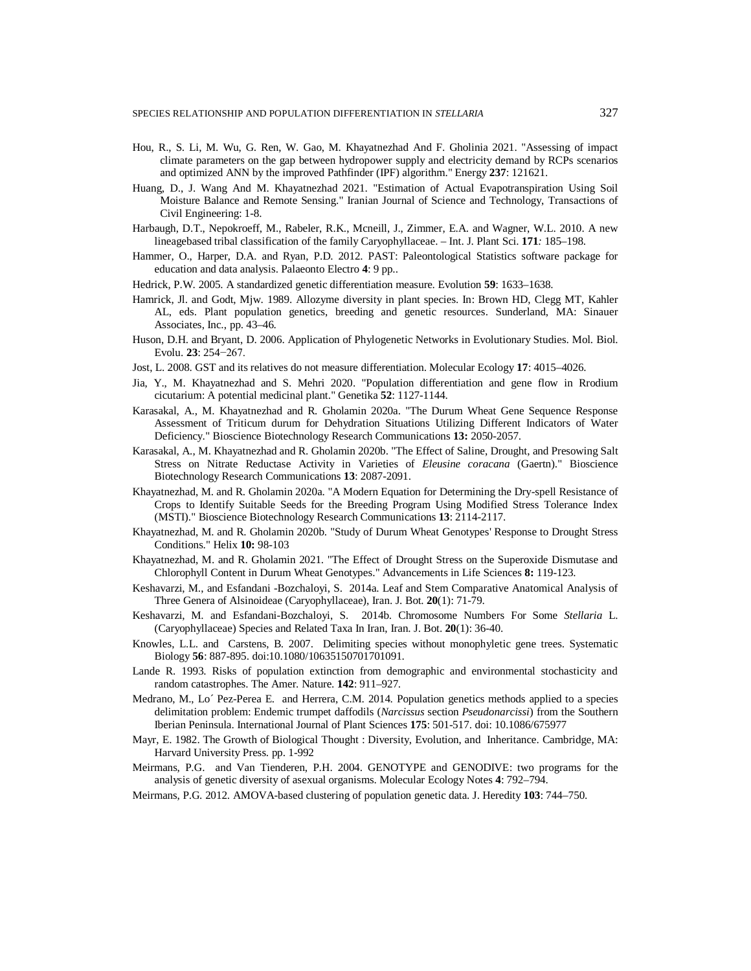- Hou, R., S. Li, M. Wu, G. Ren, W. Gao, M. Khayatnezhad And F. Gholinia 2021. "Assessing of impact climate parameters on the gap between hydropower supply and electricity demand by RCPs scenarios and optimized ANN by the improved Pathfinder (IPF) algorithm." Energy **237**: 121621.
- Huang, D., J. Wang And M. Khayatnezhad 2021. "Estimation of Actual Evapotranspiration Using Soil Moisture Balance and Remote Sensing." Iranian Journal of Science and Technology, Transactions of Civil Engineering: 1-8.
- Harbaugh, D.T., Nepokroeff, M., Rabeler, R.K., Mcneill, J., Zimmer, E.A. and Wagner, W.L. 2010. A new lineagebased tribal classification of the family Caryophyllaceae. – Int. J. Plant Sci. **171***:* 185–198.
- Hammer, O., Harper, D.A. and Ryan, P.D. 2012. PAST: Paleontological Statistics software package for education and data analysis. Palaeonto Electro **4**: 9 pp..
- Hedrick, P.W. 2005. A standardized genetic differentiation measure. Evolution **59**: 1633–1638.
- Hamrick, Jl. and Godt, Mjw. 1989. Allozyme diversity in plant species. In: Brown HD, Clegg MT, Kahler AL, eds. Plant population genetics, breeding and genetic resources. Sunderland, MA: Sinauer Associates, Inc., pp. 43–46.
- Huson, D.H. and Bryant, D. 2006. Application of Phylogenetic Networks in Evolutionary Studies. Mol. Biol. Evolu. **23**: 254−267.
- Jost, L. 2008. GST and its relatives do not measure differentiation. Molecular Ecology **17**: 4015–4026.
- Jia, Y., M. Khayatnezhad and S. Mehri 2020. "Population differentiation and gene flow in Rrodium cicutarium: A potential medicinal plant." Genetika **52**: 1127-1144.
- Karasakal, A., M. Khayatnezhad and R. Gholamin 2020a. "The Durum Wheat Gene Sequence Response Assessment of Triticum durum for Dehydration Situations Utilizing Different Indicators of Water Deficiency." Bioscience Biotechnology Research Communications **13:** 2050-2057.
- Karasakal, A., M. Khayatnezhad and R. Gholamin 2020b. "The Effect of Saline, Drought, and Presowing Salt Stress on Nitrate Reductase Activity in Varieties of *Eleusine coracana* (Gaertn)." Bioscience Biotechnology Research Communications **13**: 2087-2091.
- Khayatnezhad, M. and R. Gholamin 2020a. "A Modern Equation for Determining the Dry-spell Resistance of Crops to Identify Suitable Seeds for the Breeding Program Using Modified Stress Tolerance Index (MSTI)." Bioscience Biotechnology Research Communications **13**: 2114-2117.
- Khayatnezhad, M. and R. Gholamin 2020b. "Study of Durum Wheat Genotypes' Response to Drought Stress Conditions." Helix **10:** 98-103
- Khayatnezhad, M. and R. Gholamin 2021. "The Effect of Drought Stress on the Superoxide Dismutase and Chlorophyll Content in Durum Wheat Genotypes." Advancements in Life Sciences **8:** 119-123.
- Keshavarzi, M., and Esfandani -Bozchaloyi, S. 2014a. Leaf and Stem Comparative Anatomical Analysis of Three Genera of Alsinoideae (Caryophyllaceae), Iran. J. Bot. **20**(1): 71-79.
- Keshavarzi, M. and Esfandani-Bozchaloyi, S. 2014b. Chromosome Numbers For Some *Stellaria* L. (Caryophyllaceae) Species and Related Taxa In Iran, Iran. J. Bot. **20**(1): 36-40.
- Knowles, L.L. and Carstens, B. 2007. Delimiting species without monophyletic gene trees. Systematic Biology **56**: 887-895. doi:10.1080/10635150701701091.
- Lande R. 1993. Risks of population extinction from demographic and environmental stochasticity and random catastrophes. The Amer. Nature. **142**: 911–927.
- Medrano, M., Lo´ Pez-Perea E. and Herrera, C.M. 2014. Population genetics methods applied to a species delimitation problem: Endemic trumpet daffodils (*Narcissus* section *Pseudonarcissi*) from the Southern Iberian Peninsula. International Journal of Plant Sciences **175**: 501-517. doi: 10.1086/675977
- Mayr, E. 1982. The Growth of Biological Thought : Diversity, Evolution, and Inheritance. Cambridge, MA: Harvard University Press. pp. 1-992
- Meirmans, P.G. and Van Tienderen, P.H. 2004. GENOTYPE and GENODIVE: two programs for the analysis of genetic diversity of asexual organisms. Molecular Ecology Notes **4**: 792–794.
- Meirmans, P.G. 2012. AMOVA-based clustering of population genetic data. J. Heredity **103**: 744–750.